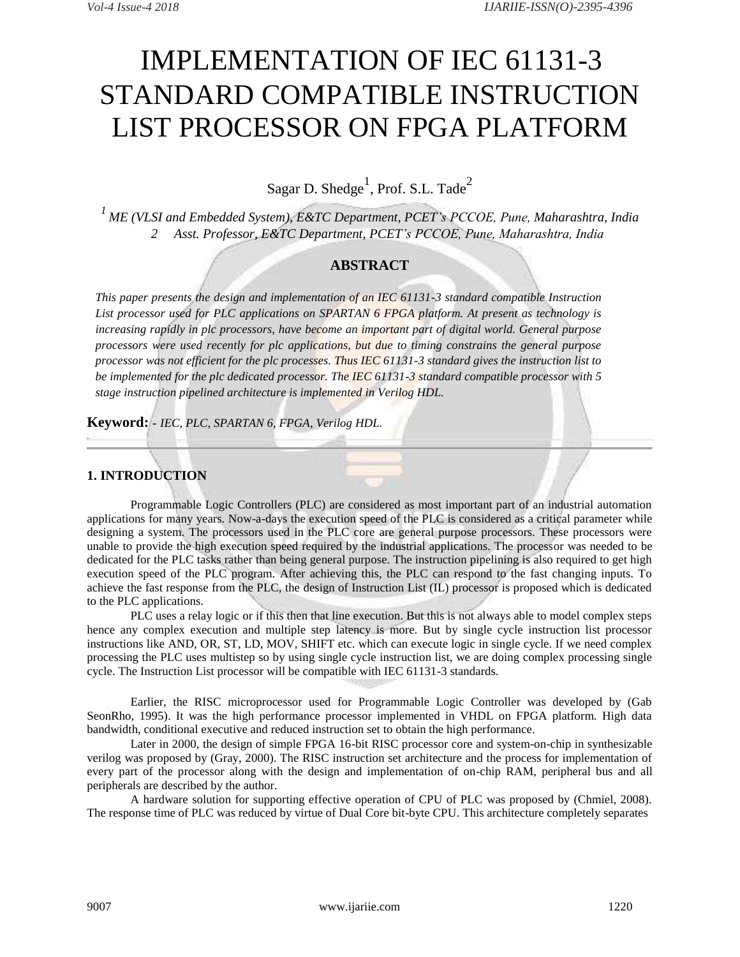# IMPLEMENTATION OF IEC 61131-3 STANDARD COMPATIBLE INSTRUCTION LIST PROCESSOR ON FPGA PLATFORM

Sagar D. Shedge<sup>1</sup>, Prof. S.L. Tade<sup>2</sup>

*<sup>1</sup> ME (VLSI and Embedded System), E&TC Department, PCET's PCCOE, Pune, Maharashtra, India 2 Asst. Professor, E&TC Department, PCET's PCCOE, Pune, Maharashtra, India*

## **ABSTRACT**

*This paper presents the design and implementation of an IEC 61131-3 standard compatible Instruction List processor used for PLC applications on SPARTAN 6 FPGA platform. At present as technology is increasing rapidly in plc processors, have become an important part of digital world. General purpose processors were used recently for plc applications, but due to timing constrains the general purpose processor was not efficient for the plc processes. Thus IEC 61131-3 standard gives the instruction list to be implemented for the plc dedicated processor. The IEC 61131-3 standard compatible processor with 5 stage instruction pipelined architecture is implemented in Verilog HDL.*

**Keyword: -** *IEC, PLC, SPARTAN 6, FPGA, Verilog HDL.*

## **1. INTRODUCTION**

Programmable Logic Controllers (PLC) are considered as most important part of an industrial automation applications for many years. Now-a-days the execution speed of the PLC is considered as a critical parameter while designing a system. The processors used in the PLC core are general purpose processors. These processors were unable to provide the high execution speed required by the industrial applications. The processor was needed to be dedicated for the PLC tasks rather than being general purpose. The instruction pipelining is also required to get high execution speed of the PLC program. After achieving this, the PLC can respond to the fast changing inputs. To achieve the fast response from the PLC, the design of Instruction List (IL) processor is proposed which is dedicated to the PLC applications.

PLC uses a relay logic or if this then that line execution. But this is not always able to model complex steps hence any complex execution and multiple step latency is more. But by single cycle instruction list processor instructions like AND, OR, ST, LD, MOV, SHIFT etc. which can execute logic in single cycle. If we need complex processing the PLC uses multistep so by using single cycle instruction list, we are doing complex processing single cycle. The Instruction List processor will be compatible with IEC 61131-3 standards.

Earlier, the RISC microprocessor used for Programmable Logic Controller was developed by (Gab SeonRho, 1995). It was the high performance processor implemented in VHDL on FPGA platform. High data bandwidth, conditional executive and reduced instruction set to obtain the high performance.

Later in 2000, the design of simple FPGA 16-bit RISC processor core and system-on-chip in synthesizable verilog was proposed by (Gray, 2000). The RISC instruction set architecture and the process for implementation of every part of the processor along with the design and implementation of on-chip RAM, peripheral bus and all peripherals are described by the author.

A hardware solution for supporting effective operation of CPU of PLC was proposed by (Chmiel, 2008). The response time of PLC was reduced by virtue of Dual Core bit-byte CPU. This architecture completely separates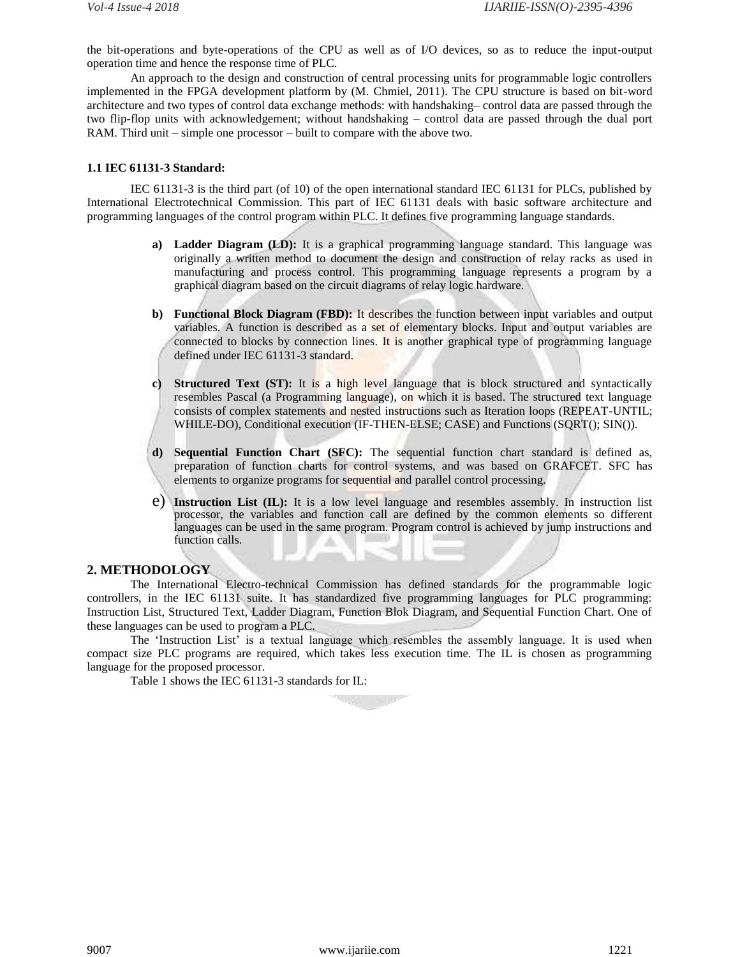the bit-operations and byte-operations of the CPU as well as of I/O devices, so as to reduce the input-output operation time and hence the response time of PLC.

An approach to the design and construction of central processing units for programmable logic controllers implemented in the FPGA development platform by (M. Chmiel, 2011). The CPU structure is based on bit-word architecture and two types of control data exchange methods: with handshaking– control data are passed through the two flip-flop units with acknowledgement; without handshaking – control data are passed through the dual port RAM. Third unit – simple one processor – built to compare with the above two.

#### **1.1 IEC 61131-3 Standard:**

IEC 61131-3 is the third part (of 10) of the open international standard IEC 61131 for PLCs, published by International Electrotechnical Commission. This part of IEC 61131 deals with basic software architecture and programming languages of the control program within PLC. It defines five programming language standards.

- **a) Ladder Diagram (LD):** It is a graphical programming language standard. This language was originally a written method to document the design and construction of relay racks as used in manufacturing and process control. This programming language represents a program by a graphical diagram based on the circuit diagrams of relay logic hardware.
- **b) Functional Block Diagram (FBD):** It describes the function between input variables and output variables. A function is described as a set of elementary blocks. Input and output variables are connected to blocks by connection lines. It is another graphical type of programming language defined under IEC 61131-3 standard.
- **c) Structured Text (ST):** It is a high level language that is block structured and syntactically resembles Pascal (a Programming language), on which it is based. The structured text language consists of complex statements and nested instructions such as Iteration loops (REPEAT-UNTIL; WHILE-DO), Conditional execution (IF-THEN-ELSE; CASE) and Functions (SQRT(); SIN()).
- **d) Sequential Function Chart (SFC):** The sequential function chart standard is defined as, preparation of function charts for control systems, and was based on GRAFCET. SFC has elements to organize programs for sequential and parallel control processing.
- e) **Instruction List (IL):** It is a low level language and resembles assembly. In instruction list processor, the variables and function call are defined by the common elements so different languages can be used in the same program. Program control is achieved by jump instructions and function calls.

#### **2. METHODOLOGY**

The International Electro-technical Commission has defined standards for the programmable logic controllers, in the IEC 61131 suite. It has standardized five programming languages for PLC programming: Instruction List, Structured Text, Ladder Diagram, Function Blok Diagram, and Sequential Function Chart. One of these languages can be used to program a PLC.

The 'Instruction List' is a textual language which resembles the assembly language. It is used when compact size PLC programs are required, which takes less execution time. The IL is chosen as programming language for the proposed processor.

Table 1 shows the IEC 61131-3 standards for IL: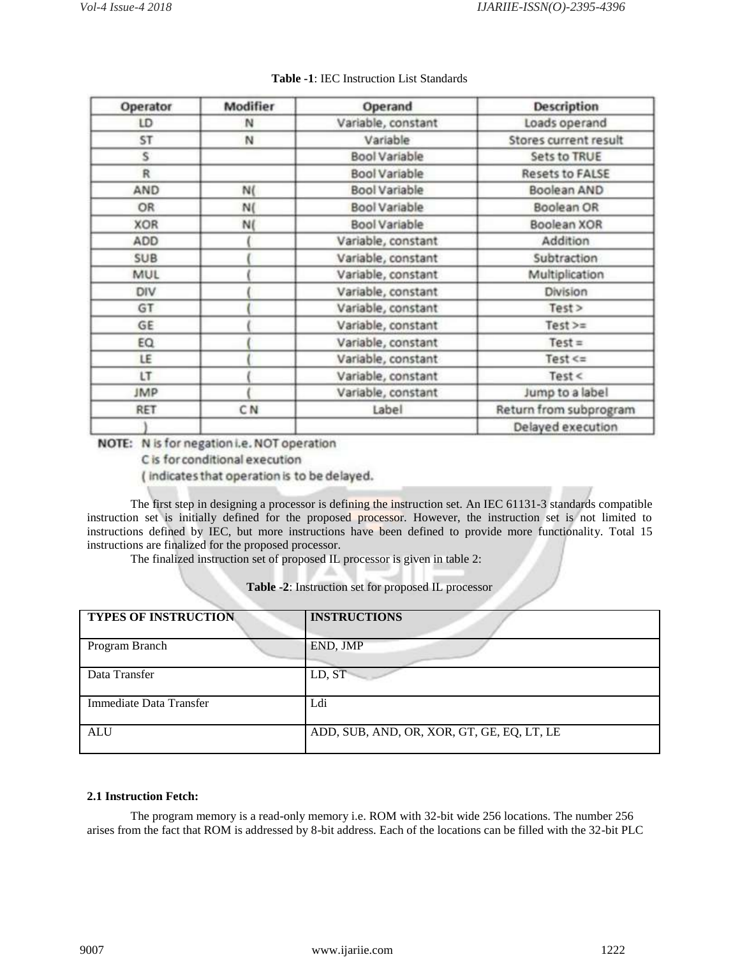| Operator   | Modifier | Operand              | <b>Description</b><br>Loads operand |  |  |
|------------|----------|----------------------|-------------------------------------|--|--|
| LD         | N        | Variable, constant   |                                     |  |  |
| ST         | N        | Variable             | Stores current result               |  |  |
| S          |          | <b>Bool Variable</b> | Sets to TRUE                        |  |  |
| R          |          | <b>Bool Variable</b> | <b>Resets to FALSE</b>              |  |  |
| AND        | N(       | <b>Bool Variable</b> | Boolean AND                         |  |  |
| OR         | N(       | <b>Bool Variable</b> | Boolean OR                          |  |  |
| <b>XOR</b> | N(       | <b>Bool Variable</b> | Boolean XOR                         |  |  |
| ADD        |          | Variable, constant   | Addition                            |  |  |
| <b>SUB</b> |          | Variable, constant   | Subtraction                         |  |  |
| MUL        |          | Variable, constant   | Multiplication                      |  |  |
| DIV        |          | Variable, constant   | Division                            |  |  |
| GT         |          | Variable, constant   | Test                                |  |  |
| GE         |          | Variable, constant   | Test $>=$                           |  |  |
| EQ         |          | Variable, constant   | $Test =$                            |  |  |
| LE         |          | Variable, constant   | Test $\leq$                         |  |  |
| LT         |          | Variable, constant   | Test <                              |  |  |
| <b>JMP</b> |          | Variable, constant   | Jump to a label                     |  |  |
| RET        | CN       | Label                | Return from subprogram              |  |  |
|            |          |                      | Delayed execution                   |  |  |

#### **Table -1**: IEC Instruction List Standards

NOTE: N is for negation i.e. NOT operation

C is for conditional execution

(indicates that operation is to be delayed.

The first step in designing a processor is defining the instruction set. An IEC 61131-3 standards compatible instruction set is initially defined for the proposed processor. However, the instruction set is not limited to instructions defined by IEC, but more instructions have been defined to provide more functionality. Total 15 instructions are finalized for the proposed processor.

The finalized instruction set of proposed IL processor is given in table 2:

业

| Table -2: Instruction set for proposed IL processor |  |
|-----------------------------------------------------|--|
|-----------------------------------------------------|--|

| <b>TYPES OF INSTRUCTION</b> | <b>INSTRUCTIONS</b>                        |
|-----------------------------|--------------------------------------------|
| Program Branch              | END, JMP                                   |
| Data Transfer               | LD, ST                                     |
| Immediate Data Transfer     | Ldi                                        |
| <b>ALU</b>                  | ADD, SUB, AND, OR, XOR, GT, GE, EQ, LT, LE |

#### **2.1 Instruction Fetch:**

The program memory is a read-only memory i.e. ROM with 32-bit wide 256 locations. The number 256 arises from the fact that ROM is addressed by 8-bit address. Each of the locations can be filled with the 32-bit PLC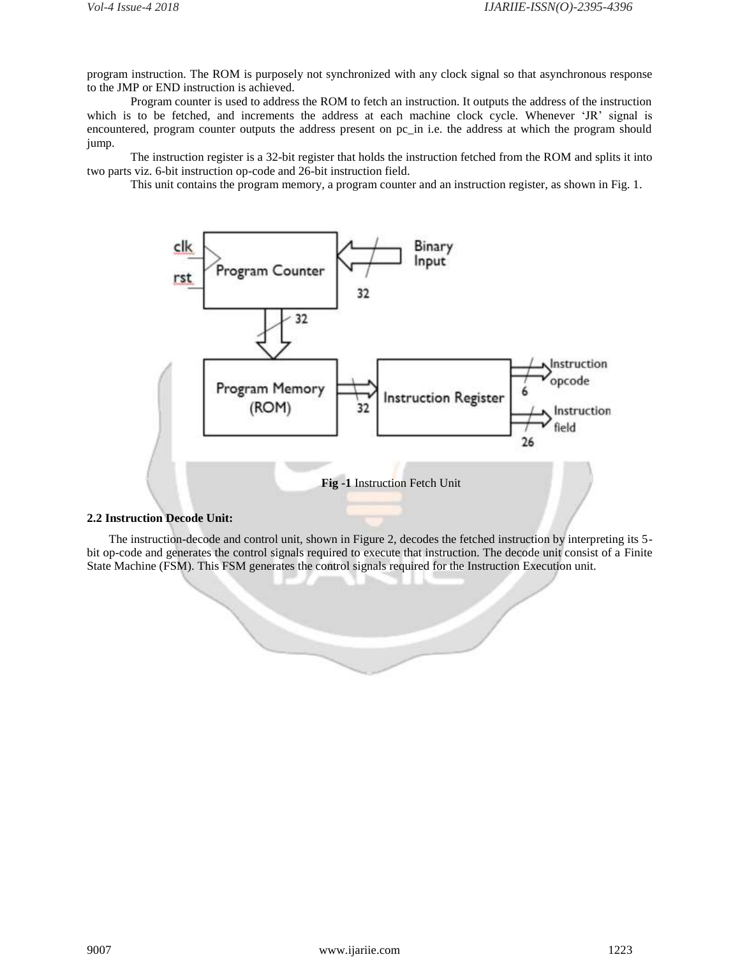program instruction. The ROM is purposely not synchronized with any clock signal so that asynchronous response to the JMP or END instruction is achieved.

Program counter is used to address the ROM to fetch an instruction. It outputs the address of the instruction which is to be fetched, and increments the address at each machine clock cycle. Whenever 'JR' signal is encountered, program counter outputs the address present on pc\_in i.e. the address at which the program should jump.

The instruction register is a 32-bit register that holds the instruction fetched from the ROM and splits it into two parts viz. 6-bit instruction op-code and 26-bit instruction field.

This unit contains the program memory, a program counter and an instruction register, as shown in Fig. 1.



#### **2.2 Instruction Decode Unit:**

The instruction-decode and control unit, shown in Figure 2, decodes the fetched instruction by interpreting its 5 bit op-code and generates the control signals required to execute that instruction. The decode unit consist of a Finite State Machine (FSM). This FSM generates the control signals required for the Instruction Execution unit.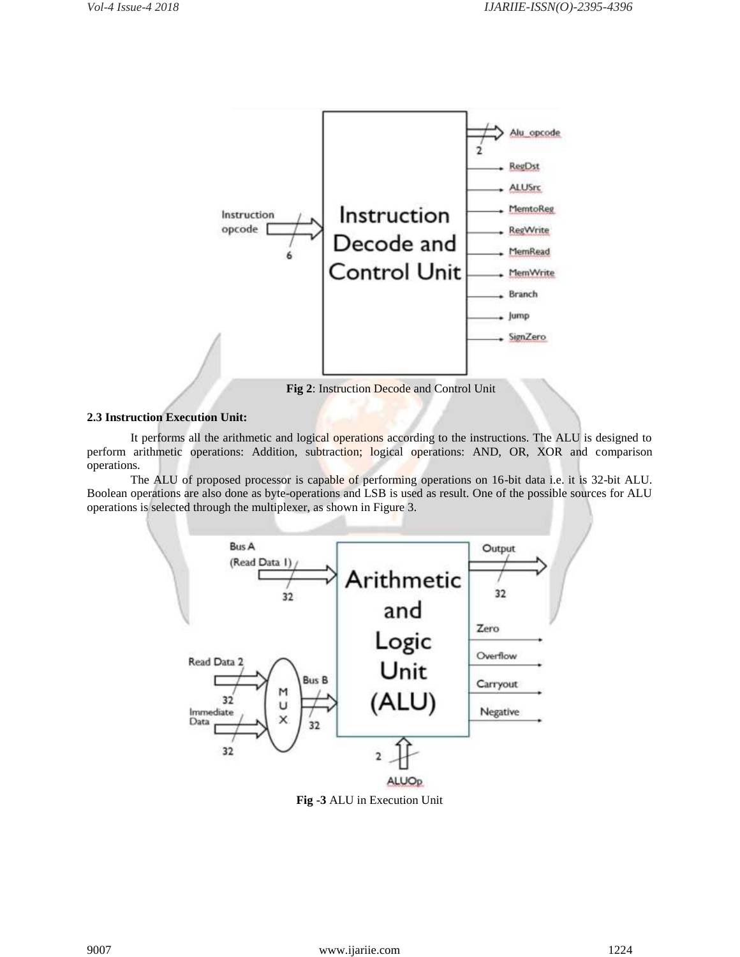

**Fig 2**: Instruction Decode and Control Unit

#### **2.3 Instruction Execution Unit:**

It performs all the arithmetic and logical operations according to the instructions. The ALU is designed to perform arithmetic operations: Addition, subtraction; logical operations: AND, OR, XOR and comparison operations.

The ALU of proposed processor is capable of performing operations on 16-bit data i.e. it is 32-bit ALU. Boolean operations are also done as byte-operations and LSB is used as result. One of the possible sources for ALU operations is selected through the multiplexer, as shown in Figure 3.



**Fig -3** ALU in Execution Unit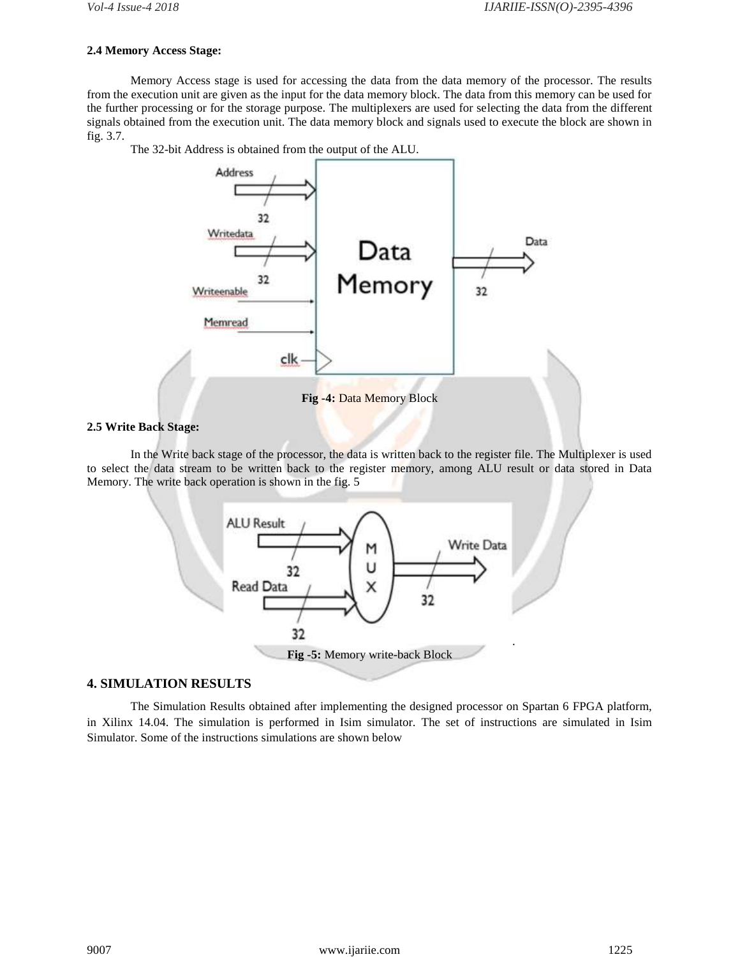#### **2.4 Memory Access Stage:**

Memory Access stage is used for accessing the data from the data memory of the processor. The results from the execution unit are given as the input for the data memory block. The data from this memory can be used for the further processing or for the storage purpose. The multiplexers are used for selecting the data from the different signals obtained from the execution unit. The data memory block and signals used to execute the block are shown in fig. 3.7.

The 32-bit Address is obtained from the output of the ALU.



#### **2.5 Write Back Stage:**

In the Write back stage of the processor, the data is written back to the register file. The Multiplexer is used to select the data stream to be written back to the register memory, among ALU result or data stored in Data Memory. The write back operation is shown in the fig. 5



#### **4. SIMULATION RESULTS**

The Simulation Results obtained after implementing the designed processor on Spartan 6 FPGA platform, in Xilinx 14.04. The simulation is performed in Isim simulator. The set of instructions are simulated in Isim Simulator. Some of the instructions simulations are shown below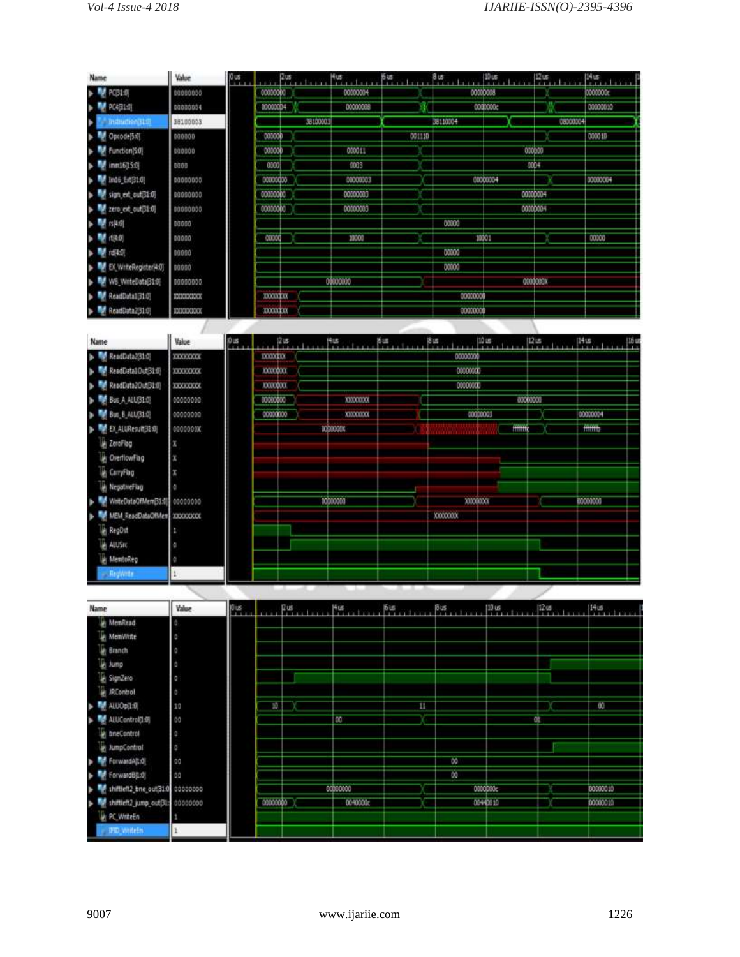| M PCB1:0<br>00000004<br>00000008<br>00000006<br>00000000<br>00000000<br>m<br><b>M</b> PC4BL:0<br>00000004<br>0000008<br>00000004<br>0000000<br>00000010<br>Лï<br><b>Instruction(IL:B)</b><br>38100003<br>0800004<br>38110004<br>36100003<br>Opcode[5:0]<br>001110<br>000010<br>000000<br>000000<br>Function [5:0]<br>000000<br>000011<br>000000<br>000000<br>M inn16350<br>0000<br>0003<br>0004<br>0000<br>M Int6_Ext(31:0)<br>00000000<br>00000003<br>00000004<br>00000004<br>00000000<br>My sign ext out(31:0)<br>00000000<br>0000003<br>0000004<br>00000000<br>M zero ext_out[31:0]<br>00000004<br>00000000<br>00000003<br>00000000<br>$\blacksquare$ report<br>00000<br>00000<br>$-44 + 40$<br>00000<br>10000<br>10001<br>0000<br>00000<br>■ 問題<br>00000<br>00000<br>MEX_WriteRegister(4:0)<br>00000<br>00000<br>W W6_WriteData(31:0)<br>0000000<br>00000000<br>0000000X<br>ReadData1(51-0)<br>0000000<br>XXXXXXXXX<br>ReadData2(31.0)<br>0000000<br>XXXXXXXXX<br>Ps.<br>245<br>降<br>$10$ us<br>$\frac{12}{1}$<br>Value<br>際<br>ķαs.<br>$14$ 15<br>$\frac{16}{16}$<br>Name<br>د پ<br>ReadData2(31:0)<br>XXXXXXXX<br>10000000<br>00000000<br>ReadData1OutS1:0<br>100000000<br>00000000<br>100000000<br>ReadData2OutS1:0<br>00000000<br>300000000<br>100000000<br><b>M</b> Bus A ALUSLO<br>00000000<br>70000000<br>0000000<br>00000000<br>00000014<br><b>M</b> But B ALUSLO<br>0000000<br>00000003<br>0000000<br>10000000<br><b>Hilling</b><br><b>Hillin</b><br><b>MEX ALUResult(31:0)</b><br>00000000<br>0000000<br>LeroFlag<br>OverflowFlag<br>CarryFlag<br>in NegativeFlag<br>00000000<br>00000000<br>WriteDataOfMem[31:0]<br>20000000<br>00000000<br>MEM_ReadDataOfMen<br>10000000<br>w<br>XXXXXXXXX<br><b>RegDst</b><br>ALUSIC.<br>ø<br>in MentoReg<br>o<br>Regiunte<br>$\mathbf{1}$<br>jūus<br>Value<br>[12 cs<br><b>Zus</b><br>Hus<br>币证<br>(6 us<br>10 <sub>us</sub><br>14 <sub>iii</sub><br><b>Name</b><br>MemRead<br>O.<br>MemWrite<br>ø<br>Le Branch<br>٥<br>Le Jump<br>o<br>lig SignZero<br>ø<br><b>INControl</b><br>¢<br>M ALUOp(1:0)<br>Ħ<br>00<br>10<br>諒<br>ALLIControl(1:0)<br>60<br>礁<br>00<br>in timeControl<br>ō.<br>a JumpControl<br>0<br>ForwardA[1.0]<br>00<br>00<br>ForwardB(1:0)<br>00<br>0.D<br>shiftleft2_bne_out[31.0]<br>00000000<br>0000000c<br>00000010<br>m.<br>00000000<br>the shiftleft2_jump_out[31:<br>0000000<br>0040000c<br>00440010<br>00000010<br>00000000 | Name              | Value       | 0us | 2 <sub>us</sub> | 445 | 6us<br>Li | 8us<br>Li | $^{10.05}_{1.1}$ | $\frac{12}{12}$ | $\frac{14}{15}$ |
|------------------------------------------------------------------------------------------------------------------------------------------------------------------------------------------------------------------------------------------------------------------------------------------------------------------------------------------------------------------------------------------------------------------------------------------------------------------------------------------------------------------------------------------------------------------------------------------------------------------------------------------------------------------------------------------------------------------------------------------------------------------------------------------------------------------------------------------------------------------------------------------------------------------------------------------------------------------------------------------------------------------------------------------------------------------------------------------------------------------------------------------------------------------------------------------------------------------------------------------------------------------------------------------------------------------------------------------------------------------------------------------------------------------------------------------------------------------------------------------------------------------------------------------------------------------------------------------------------------------------------------------------------------------------------------------------------------------------------------------------------------------------------------------------------------------------------------------------------------------------------------------------------------------------------------------------------------------------------------------------------------------------------------------------------------------------------------------------------------------------------------------------------------------------------------------------------------------------------------------------------------------------------------------------------------------------------------------------------------------------------------------------------|-------------------|-------------|-----|-----------------|-----|-----------|-----------|------------------|-----------------|-----------------|
|                                                                                                                                                                                                                                                                                                                                                                                                                                                                                                                                                                                                                                                                                                                                                                                                                                                                                                                                                                                                                                                                                                                                                                                                                                                                                                                                                                                                                                                                                                                                                                                                                                                                                                                                                                                                                                                                                                                                                                                                                                                                                                                                                                                                                                                                                                                                                                                                      |                   |             |     |                 |     |           |           |                  |                 |                 |
|                                                                                                                                                                                                                                                                                                                                                                                                                                                                                                                                                                                                                                                                                                                                                                                                                                                                                                                                                                                                                                                                                                                                                                                                                                                                                                                                                                                                                                                                                                                                                                                                                                                                                                                                                                                                                                                                                                                                                                                                                                                                                                                                                                                                                                                                                                                                                                                                      |                   |             |     |                 |     |           |           |                  |                 |                 |
|                                                                                                                                                                                                                                                                                                                                                                                                                                                                                                                                                                                                                                                                                                                                                                                                                                                                                                                                                                                                                                                                                                                                                                                                                                                                                                                                                                                                                                                                                                                                                                                                                                                                                                                                                                                                                                                                                                                                                                                                                                                                                                                                                                                                                                                                                                                                                                                                      |                   |             |     |                 |     |           |           |                  |                 |                 |
|                                                                                                                                                                                                                                                                                                                                                                                                                                                                                                                                                                                                                                                                                                                                                                                                                                                                                                                                                                                                                                                                                                                                                                                                                                                                                                                                                                                                                                                                                                                                                                                                                                                                                                                                                                                                                                                                                                                                                                                                                                                                                                                                                                                                                                                                                                                                                                                                      |                   |             |     |                 |     |           |           |                  |                 |                 |
|                                                                                                                                                                                                                                                                                                                                                                                                                                                                                                                                                                                                                                                                                                                                                                                                                                                                                                                                                                                                                                                                                                                                                                                                                                                                                                                                                                                                                                                                                                                                                                                                                                                                                                                                                                                                                                                                                                                                                                                                                                                                                                                                                                                                                                                                                                                                                                                                      |                   |             |     |                 |     |           |           |                  |                 |                 |
|                                                                                                                                                                                                                                                                                                                                                                                                                                                                                                                                                                                                                                                                                                                                                                                                                                                                                                                                                                                                                                                                                                                                                                                                                                                                                                                                                                                                                                                                                                                                                                                                                                                                                                                                                                                                                                                                                                                                                                                                                                                                                                                                                                                                                                                                                                                                                                                                      |                   |             |     |                 |     |           |           |                  |                 |                 |
|                                                                                                                                                                                                                                                                                                                                                                                                                                                                                                                                                                                                                                                                                                                                                                                                                                                                                                                                                                                                                                                                                                                                                                                                                                                                                                                                                                                                                                                                                                                                                                                                                                                                                                                                                                                                                                                                                                                                                                                                                                                                                                                                                                                                                                                                                                                                                                                                      |                   |             |     |                 |     |           |           |                  |                 |                 |
|                                                                                                                                                                                                                                                                                                                                                                                                                                                                                                                                                                                                                                                                                                                                                                                                                                                                                                                                                                                                                                                                                                                                                                                                                                                                                                                                                                                                                                                                                                                                                                                                                                                                                                                                                                                                                                                                                                                                                                                                                                                                                                                                                                                                                                                                                                                                                                                                      |                   |             |     |                 |     |           |           |                  |                 |                 |
|                                                                                                                                                                                                                                                                                                                                                                                                                                                                                                                                                                                                                                                                                                                                                                                                                                                                                                                                                                                                                                                                                                                                                                                                                                                                                                                                                                                                                                                                                                                                                                                                                                                                                                                                                                                                                                                                                                                                                                                                                                                                                                                                                                                                                                                                                                                                                                                                      |                   |             |     |                 |     |           |           |                  |                 |                 |
|                                                                                                                                                                                                                                                                                                                                                                                                                                                                                                                                                                                                                                                                                                                                                                                                                                                                                                                                                                                                                                                                                                                                                                                                                                                                                                                                                                                                                                                                                                                                                                                                                                                                                                                                                                                                                                                                                                                                                                                                                                                                                                                                                                                                                                                                                                                                                                                                      |                   |             |     |                 |     |           |           |                  |                 |                 |
|                                                                                                                                                                                                                                                                                                                                                                                                                                                                                                                                                                                                                                                                                                                                                                                                                                                                                                                                                                                                                                                                                                                                                                                                                                                                                                                                                                                                                                                                                                                                                                                                                                                                                                                                                                                                                                                                                                                                                                                                                                                                                                                                                                                                                                                                                                                                                                                                      |                   |             |     |                 |     |           |           |                  |                 |                 |
|                                                                                                                                                                                                                                                                                                                                                                                                                                                                                                                                                                                                                                                                                                                                                                                                                                                                                                                                                                                                                                                                                                                                                                                                                                                                                                                                                                                                                                                                                                                                                                                                                                                                                                                                                                                                                                                                                                                                                                                                                                                                                                                                                                                                                                                                                                                                                                                                      |                   |             |     |                 |     |           |           |                  |                 |                 |
|                                                                                                                                                                                                                                                                                                                                                                                                                                                                                                                                                                                                                                                                                                                                                                                                                                                                                                                                                                                                                                                                                                                                                                                                                                                                                                                                                                                                                                                                                                                                                                                                                                                                                                                                                                                                                                                                                                                                                                                                                                                                                                                                                                                                                                                                                                                                                                                                      |                   |             |     |                 |     |           |           |                  |                 |                 |
|                                                                                                                                                                                                                                                                                                                                                                                                                                                                                                                                                                                                                                                                                                                                                                                                                                                                                                                                                                                                                                                                                                                                                                                                                                                                                                                                                                                                                                                                                                                                                                                                                                                                                                                                                                                                                                                                                                                                                                                                                                                                                                                                                                                                                                                                                                                                                                                                      |                   |             |     |                 |     |           |           |                  |                 |                 |
|                                                                                                                                                                                                                                                                                                                                                                                                                                                                                                                                                                                                                                                                                                                                                                                                                                                                                                                                                                                                                                                                                                                                                                                                                                                                                                                                                                                                                                                                                                                                                                                                                                                                                                                                                                                                                                                                                                                                                                                                                                                                                                                                                                                                                                                                                                                                                                                                      |                   |             |     |                 |     |           |           |                  |                 |                 |
|                                                                                                                                                                                                                                                                                                                                                                                                                                                                                                                                                                                                                                                                                                                                                                                                                                                                                                                                                                                                                                                                                                                                                                                                                                                                                                                                                                                                                                                                                                                                                                                                                                                                                                                                                                                                                                                                                                                                                                                                                                                                                                                                                                                                                                                                                                                                                                                                      |                   |             |     |                 |     |           |           |                  |                 |                 |
|                                                                                                                                                                                                                                                                                                                                                                                                                                                                                                                                                                                                                                                                                                                                                                                                                                                                                                                                                                                                                                                                                                                                                                                                                                                                                                                                                                                                                                                                                                                                                                                                                                                                                                                                                                                                                                                                                                                                                                                                                                                                                                                                                                                                                                                                                                                                                                                                      |                   |             |     |                 |     |           |           |                  |                 |                 |
|                                                                                                                                                                                                                                                                                                                                                                                                                                                                                                                                                                                                                                                                                                                                                                                                                                                                                                                                                                                                                                                                                                                                                                                                                                                                                                                                                                                                                                                                                                                                                                                                                                                                                                                                                                                                                                                                                                                                                                                                                                                                                                                                                                                                                                                                                                                                                                                                      |                   |             |     |                 |     |           |           |                  |                 |                 |
|                                                                                                                                                                                                                                                                                                                                                                                                                                                                                                                                                                                                                                                                                                                                                                                                                                                                                                                                                                                                                                                                                                                                                                                                                                                                                                                                                                                                                                                                                                                                                                                                                                                                                                                                                                                                                                                                                                                                                                                                                                                                                                                                                                                                                                                                                                                                                                                                      |                   |             |     |                 |     |           |           |                  |                 |                 |
|                                                                                                                                                                                                                                                                                                                                                                                                                                                                                                                                                                                                                                                                                                                                                                                                                                                                                                                                                                                                                                                                                                                                                                                                                                                                                                                                                                                                                                                                                                                                                                                                                                                                                                                                                                                                                                                                                                                                                                                                                                                                                                                                                                                                                                                                                                                                                                                                      |                   |             |     |                 |     |           |           |                  |                 |                 |
|                                                                                                                                                                                                                                                                                                                                                                                                                                                                                                                                                                                                                                                                                                                                                                                                                                                                                                                                                                                                                                                                                                                                                                                                                                                                                                                                                                                                                                                                                                                                                                                                                                                                                                                                                                                                                                                                                                                                                                                                                                                                                                                                                                                                                                                                                                                                                                                                      |                   |             |     |                 |     |           |           |                  |                 |                 |
|                                                                                                                                                                                                                                                                                                                                                                                                                                                                                                                                                                                                                                                                                                                                                                                                                                                                                                                                                                                                                                                                                                                                                                                                                                                                                                                                                                                                                                                                                                                                                                                                                                                                                                                                                                                                                                                                                                                                                                                                                                                                                                                                                                                                                                                                                                                                                                                                      |                   |             |     |                 |     |           |           |                  |                 |                 |
|                                                                                                                                                                                                                                                                                                                                                                                                                                                                                                                                                                                                                                                                                                                                                                                                                                                                                                                                                                                                                                                                                                                                                                                                                                                                                                                                                                                                                                                                                                                                                                                                                                                                                                                                                                                                                                                                                                                                                                                                                                                                                                                                                                                                                                                                                                                                                                                                      |                   |             |     |                 |     |           |           |                  |                 |                 |
|                                                                                                                                                                                                                                                                                                                                                                                                                                                                                                                                                                                                                                                                                                                                                                                                                                                                                                                                                                                                                                                                                                                                                                                                                                                                                                                                                                                                                                                                                                                                                                                                                                                                                                                                                                                                                                                                                                                                                                                                                                                                                                                                                                                                                                                                                                                                                                                                      |                   |             |     |                 |     |           |           |                  |                 |                 |
|                                                                                                                                                                                                                                                                                                                                                                                                                                                                                                                                                                                                                                                                                                                                                                                                                                                                                                                                                                                                                                                                                                                                                                                                                                                                                                                                                                                                                                                                                                                                                                                                                                                                                                                                                                                                                                                                                                                                                                                                                                                                                                                                                                                                                                                                                                                                                                                                      |                   |             |     |                 |     |           |           |                  |                 |                 |
|                                                                                                                                                                                                                                                                                                                                                                                                                                                                                                                                                                                                                                                                                                                                                                                                                                                                                                                                                                                                                                                                                                                                                                                                                                                                                                                                                                                                                                                                                                                                                                                                                                                                                                                                                                                                                                                                                                                                                                                                                                                                                                                                                                                                                                                                                                                                                                                                      |                   |             |     |                 |     |           |           |                  |                 |                 |
|                                                                                                                                                                                                                                                                                                                                                                                                                                                                                                                                                                                                                                                                                                                                                                                                                                                                                                                                                                                                                                                                                                                                                                                                                                                                                                                                                                                                                                                                                                                                                                                                                                                                                                                                                                                                                                                                                                                                                                                                                                                                                                                                                                                                                                                                                                                                                                                                      |                   |             |     |                 |     |           |           |                  |                 |                 |
|                                                                                                                                                                                                                                                                                                                                                                                                                                                                                                                                                                                                                                                                                                                                                                                                                                                                                                                                                                                                                                                                                                                                                                                                                                                                                                                                                                                                                                                                                                                                                                                                                                                                                                                                                                                                                                                                                                                                                                                                                                                                                                                                                                                                                                                                                                                                                                                                      |                   |             |     |                 |     |           |           |                  |                 |                 |
|                                                                                                                                                                                                                                                                                                                                                                                                                                                                                                                                                                                                                                                                                                                                                                                                                                                                                                                                                                                                                                                                                                                                                                                                                                                                                                                                                                                                                                                                                                                                                                                                                                                                                                                                                                                                                                                                                                                                                                                                                                                                                                                                                                                                                                                                                                                                                                                                      |                   |             |     |                 |     |           |           |                  |                 |                 |
|                                                                                                                                                                                                                                                                                                                                                                                                                                                                                                                                                                                                                                                                                                                                                                                                                                                                                                                                                                                                                                                                                                                                                                                                                                                                                                                                                                                                                                                                                                                                                                                                                                                                                                                                                                                                                                                                                                                                                                                                                                                                                                                                                                                                                                                                                                                                                                                                      |                   |             |     |                 |     |           |           |                  |                 |                 |
|                                                                                                                                                                                                                                                                                                                                                                                                                                                                                                                                                                                                                                                                                                                                                                                                                                                                                                                                                                                                                                                                                                                                                                                                                                                                                                                                                                                                                                                                                                                                                                                                                                                                                                                                                                                                                                                                                                                                                                                                                                                                                                                                                                                                                                                                                                                                                                                                      |                   |             |     |                 |     |           |           |                  |                 |                 |
|                                                                                                                                                                                                                                                                                                                                                                                                                                                                                                                                                                                                                                                                                                                                                                                                                                                                                                                                                                                                                                                                                                                                                                                                                                                                                                                                                                                                                                                                                                                                                                                                                                                                                                                                                                                                                                                                                                                                                                                                                                                                                                                                                                                                                                                                                                                                                                                                      |                   |             |     |                 |     |           |           |                  |                 |                 |
|                                                                                                                                                                                                                                                                                                                                                                                                                                                                                                                                                                                                                                                                                                                                                                                                                                                                                                                                                                                                                                                                                                                                                                                                                                                                                                                                                                                                                                                                                                                                                                                                                                                                                                                                                                                                                                                                                                                                                                                                                                                                                                                                                                                                                                                                                                                                                                                                      |                   |             |     |                 |     |           |           |                  |                 |                 |
|                                                                                                                                                                                                                                                                                                                                                                                                                                                                                                                                                                                                                                                                                                                                                                                                                                                                                                                                                                                                                                                                                                                                                                                                                                                                                                                                                                                                                                                                                                                                                                                                                                                                                                                                                                                                                                                                                                                                                                                                                                                                                                                                                                                                                                                                                                                                                                                                      |                   |             |     |                 |     |           |           |                  |                 |                 |
|                                                                                                                                                                                                                                                                                                                                                                                                                                                                                                                                                                                                                                                                                                                                                                                                                                                                                                                                                                                                                                                                                                                                                                                                                                                                                                                                                                                                                                                                                                                                                                                                                                                                                                                                                                                                                                                                                                                                                                                                                                                                                                                                                                                                                                                                                                                                                                                                      |                   |             |     |                 |     |           |           |                  |                 |                 |
|                                                                                                                                                                                                                                                                                                                                                                                                                                                                                                                                                                                                                                                                                                                                                                                                                                                                                                                                                                                                                                                                                                                                                                                                                                                                                                                                                                                                                                                                                                                                                                                                                                                                                                                                                                                                                                                                                                                                                                                                                                                                                                                                                                                                                                                                                                                                                                                                      |                   |             |     |                 |     |           |           |                  |                 |                 |
|                                                                                                                                                                                                                                                                                                                                                                                                                                                                                                                                                                                                                                                                                                                                                                                                                                                                                                                                                                                                                                                                                                                                                                                                                                                                                                                                                                                                                                                                                                                                                                                                                                                                                                                                                                                                                                                                                                                                                                                                                                                                                                                                                                                                                                                                                                                                                                                                      |                   |             |     |                 |     |           |           |                  |                 |                 |
|                                                                                                                                                                                                                                                                                                                                                                                                                                                                                                                                                                                                                                                                                                                                                                                                                                                                                                                                                                                                                                                                                                                                                                                                                                                                                                                                                                                                                                                                                                                                                                                                                                                                                                                                                                                                                                                                                                                                                                                                                                                                                                                                                                                                                                                                                                                                                                                                      |                   |             |     |                 |     |           |           |                  |                 |                 |
|                                                                                                                                                                                                                                                                                                                                                                                                                                                                                                                                                                                                                                                                                                                                                                                                                                                                                                                                                                                                                                                                                                                                                                                                                                                                                                                                                                                                                                                                                                                                                                                                                                                                                                                                                                                                                                                                                                                                                                                                                                                                                                                                                                                                                                                                                                                                                                                                      |                   |             |     |                 |     |           |           |                  |                 |                 |
|                                                                                                                                                                                                                                                                                                                                                                                                                                                                                                                                                                                                                                                                                                                                                                                                                                                                                                                                                                                                                                                                                                                                                                                                                                                                                                                                                                                                                                                                                                                                                                                                                                                                                                                                                                                                                                                                                                                                                                                                                                                                                                                                                                                                                                                                                                                                                                                                      |                   |             |     |                 |     |           |           |                  |                 |                 |
|                                                                                                                                                                                                                                                                                                                                                                                                                                                                                                                                                                                                                                                                                                                                                                                                                                                                                                                                                                                                                                                                                                                                                                                                                                                                                                                                                                                                                                                                                                                                                                                                                                                                                                                                                                                                                                                                                                                                                                                                                                                                                                                                                                                                                                                                                                                                                                                                      |                   |             |     |                 |     |           |           |                  |                 |                 |
|                                                                                                                                                                                                                                                                                                                                                                                                                                                                                                                                                                                                                                                                                                                                                                                                                                                                                                                                                                                                                                                                                                                                                                                                                                                                                                                                                                                                                                                                                                                                                                                                                                                                                                                                                                                                                                                                                                                                                                                                                                                                                                                                                                                                                                                                                                                                                                                                      |                   |             |     |                 |     |           |           |                  |                 |                 |
|                                                                                                                                                                                                                                                                                                                                                                                                                                                                                                                                                                                                                                                                                                                                                                                                                                                                                                                                                                                                                                                                                                                                                                                                                                                                                                                                                                                                                                                                                                                                                                                                                                                                                                                                                                                                                                                                                                                                                                                                                                                                                                                                                                                                                                                                                                                                                                                                      |                   |             |     |                 |     |           |           |                  |                 |                 |
|                                                                                                                                                                                                                                                                                                                                                                                                                                                                                                                                                                                                                                                                                                                                                                                                                                                                                                                                                                                                                                                                                                                                                                                                                                                                                                                                                                                                                                                                                                                                                                                                                                                                                                                                                                                                                                                                                                                                                                                                                                                                                                                                                                                                                                                                                                                                                                                                      |                   |             |     |                 |     |           |           |                  |                 |                 |
|                                                                                                                                                                                                                                                                                                                                                                                                                                                                                                                                                                                                                                                                                                                                                                                                                                                                                                                                                                                                                                                                                                                                                                                                                                                                                                                                                                                                                                                                                                                                                                                                                                                                                                                                                                                                                                                                                                                                                                                                                                                                                                                                                                                                                                                                                                                                                                                                      |                   |             |     |                 |     |           |           |                  |                 |                 |
|                                                                                                                                                                                                                                                                                                                                                                                                                                                                                                                                                                                                                                                                                                                                                                                                                                                                                                                                                                                                                                                                                                                                                                                                                                                                                                                                                                                                                                                                                                                                                                                                                                                                                                                                                                                                                                                                                                                                                                                                                                                                                                                                                                                                                                                                                                                                                                                                      |                   |             |     |                 |     |           |           |                  |                 |                 |
|                                                                                                                                                                                                                                                                                                                                                                                                                                                                                                                                                                                                                                                                                                                                                                                                                                                                                                                                                                                                                                                                                                                                                                                                                                                                                                                                                                                                                                                                                                                                                                                                                                                                                                                                                                                                                                                                                                                                                                                                                                                                                                                                                                                                                                                                                                                                                                                                      |                   |             |     |                 |     |           |           |                  |                 |                 |
|                                                                                                                                                                                                                                                                                                                                                                                                                                                                                                                                                                                                                                                                                                                                                                                                                                                                                                                                                                                                                                                                                                                                                                                                                                                                                                                                                                                                                                                                                                                                                                                                                                                                                                                                                                                                                                                                                                                                                                                                                                                                                                                                                                                                                                                                                                                                                                                                      |                   |             |     |                 |     |           |           |                  |                 |                 |
|                                                                                                                                                                                                                                                                                                                                                                                                                                                                                                                                                                                                                                                                                                                                                                                                                                                                                                                                                                                                                                                                                                                                                                                                                                                                                                                                                                                                                                                                                                                                                                                                                                                                                                                                                                                                                                                                                                                                                                                                                                                                                                                                                                                                                                                                                                                                                                                                      |                   |             |     |                 |     |           |           |                  |                 |                 |
|                                                                                                                                                                                                                                                                                                                                                                                                                                                                                                                                                                                                                                                                                                                                                                                                                                                                                                                                                                                                                                                                                                                                                                                                                                                                                                                                                                                                                                                                                                                                                                                                                                                                                                                                                                                                                                                                                                                                                                                                                                                                                                                                                                                                                                                                                                                                                                                                      |                   |             |     |                 |     |           |           |                  |                 |                 |
|                                                                                                                                                                                                                                                                                                                                                                                                                                                                                                                                                                                                                                                                                                                                                                                                                                                                                                                                                                                                                                                                                                                                                                                                                                                                                                                                                                                                                                                                                                                                                                                                                                                                                                                                                                                                                                                                                                                                                                                                                                                                                                                                                                                                                                                                                                                                                                                                      |                   |             |     |                 |     |           |           |                  |                 |                 |
|                                                                                                                                                                                                                                                                                                                                                                                                                                                                                                                                                                                                                                                                                                                                                                                                                                                                                                                                                                                                                                                                                                                                                                                                                                                                                                                                                                                                                                                                                                                                                                                                                                                                                                                                                                                                                                                                                                                                                                                                                                                                                                                                                                                                                                                                                                                                                                                                      | <b>FC WriteEn</b> |             |     |                 |     |           |           |                  |                 |                 |
|                                                                                                                                                                                                                                                                                                                                                                                                                                                                                                                                                                                                                                                                                                                                                                                                                                                                                                                                                                                                                                                                                                                                                                                                                                                                                                                                                                                                                                                                                                                                                                                                                                                                                                                                                                                                                                                                                                                                                                                                                                                                                                                                                                                                                                                                                                                                                                                                      | IFD_WriteEn       | $\mathbf 1$ |     |                 |     |           |           |                  |                 |                 |
|                                                                                                                                                                                                                                                                                                                                                                                                                                                                                                                                                                                                                                                                                                                                                                                                                                                                                                                                                                                                                                                                                                                                                                                                                                                                                                                                                                                                                                                                                                                                                                                                                                                                                                                                                                                                                                                                                                                                                                                                                                                                                                                                                                                                                                                                                                                                                                                                      |                   |             |     |                 |     |           |           |                  |                 |                 |